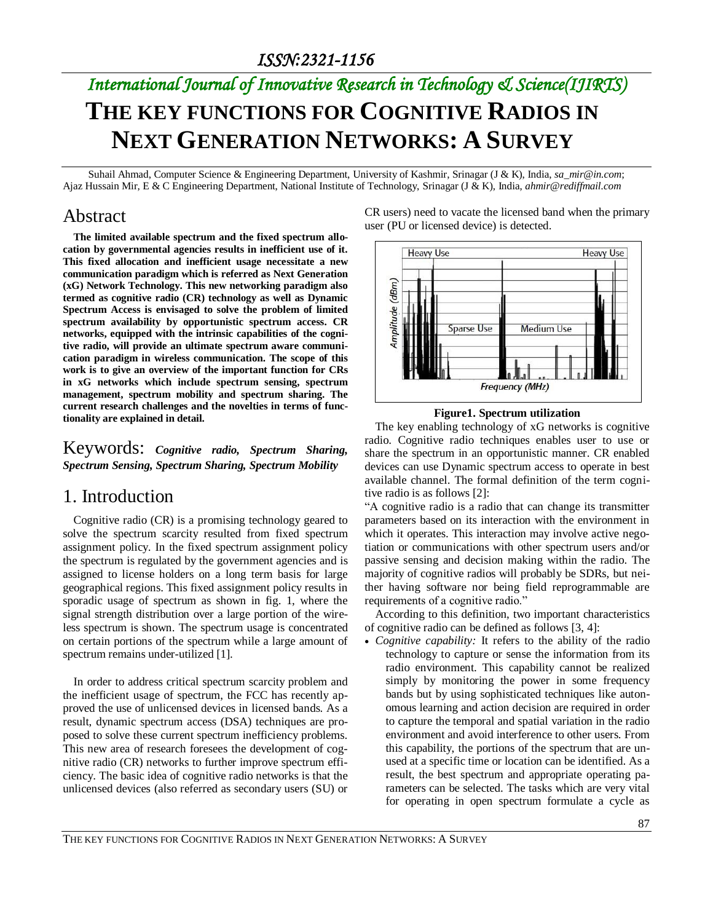# *International Journal of Innovative Research in Technology & Science(IJIRTS)* **THE KEY FUNCTIONS FOR COGNITIVE RADIOS IN NEXT GENERATION NETWORKS: A SURVEY**

Suhail Ahmad, Computer Science & Engineering Department, University of Kashmir, Srinagar (J & K), India, *sa\_mir@in.com*; Ajaz Hussain Mir, E & C Engineering Department, National Institute of Technology, Srinagar (J & K), India, *ahmir@rediffmail.com*

### Abstract

**The limited available spectrum and the fixed spectrum allocation by governmental agencies results in inefficient use of it. This fixed allocation and inefficient usage necessitate a new communication paradigm which is referred as Next Generation (xG) Network Technology. This new networking paradigm also termed as cognitive radio (CR) technology as well as Dynamic Spectrum Access is envisaged to solve the problem of limited spectrum availability by opportunistic spectrum access. CR networks, equipped with the intrinsic capabilities of the cognitive radio, will provide an ultimate spectrum aware communication paradigm in wireless communication. The scope of this work is to give an overview of the important function for CRs in xG networks which include spectrum sensing, spectrum management, spectrum mobility and spectrum sharing. The current research challenges and the novelties in terms of functionality are explained in detail.**

Keywords: *Cognitive radio, Spectrum Sharing, Spectrum Sensing, Spectrum Sharing, Spectrum Mobility*

### 1. Introduction

Cognitive radio (CR) is a promising technology geared to solve the spectrum scarcity resulted from fixed spectrum assignment policy. In the fixed spectrum assignment policy the spectrum is regulated by the government agencies and is assigned to license holders on a long term basis for large geographical regions. This fixed assignment policy results in sporadic usage of spectrum as shown in fig. 1, where the signal strength distribution over a large portion of the wireless spectrum is shown. The spectrum usage is concentrated on certain portions of the spectrum while a large amount of spectrum remains under-utilized [1].

In order to address critical spectrum scarcity problem and the inefficient usage of spectrum, the FCC has recently approved the use of unlicensed devices in licensed bands. As a result, dynamic spectrum access (DSA) techniques are proposed to solve these current spectrum inefficiency problems. This new area of research foresees the development of cognitive radio (CR) networks to further improve spectrum efficiency. The basic idea of cognitive radio networks is that the unlicensed devices (also referred as secondary users (SU) or

CR users) need to vacate the licensed band when the primary user (PU or licensed device) is detected.



#### **Figure1. Spectrum utilization**

The key enabling technology of xG networks is cognitive radio. Cognitive radio techniques enables user to use or share the spectrum in an opportunistic manner. CR enabled devices can use Dynamic spectrum access to operate in best available channel. The formal definition of the term cognitive radio is as follows [2]:

"A cognitive radio is a radio that can change its transmitter parameters based on its interaction with the environment in which it operates. This interaction may involve active negotiation or communications with other spectrum users and/or passive sensing and decision making within the radio. The majority of cognitive radios will probably be SDRs, but neither having software nor being field reprogrammable are requirements of a cognitive radio."

According to this definition, two important characteristics of cognitive radio can be defined as follows [3, 4]:

 *Cognitive capability:* It refers to the ability of the radio technology to capture or sense the information from its radio environment. This capability cannot be realized simply by monitoring the power in some frequency bands but by using sophisticated techniques like autonomous learning and action decision are required in order to capture the temporal and spatial variation in the radio environment and avoid interference to other users. From this capability, the portions of the spectrum that are unused at a specific time or location can be identified. As a result, the best spectrum and appropriate operating parameters can be selected. The tasks which are very vital for operating in open spectrum formulate a cycle as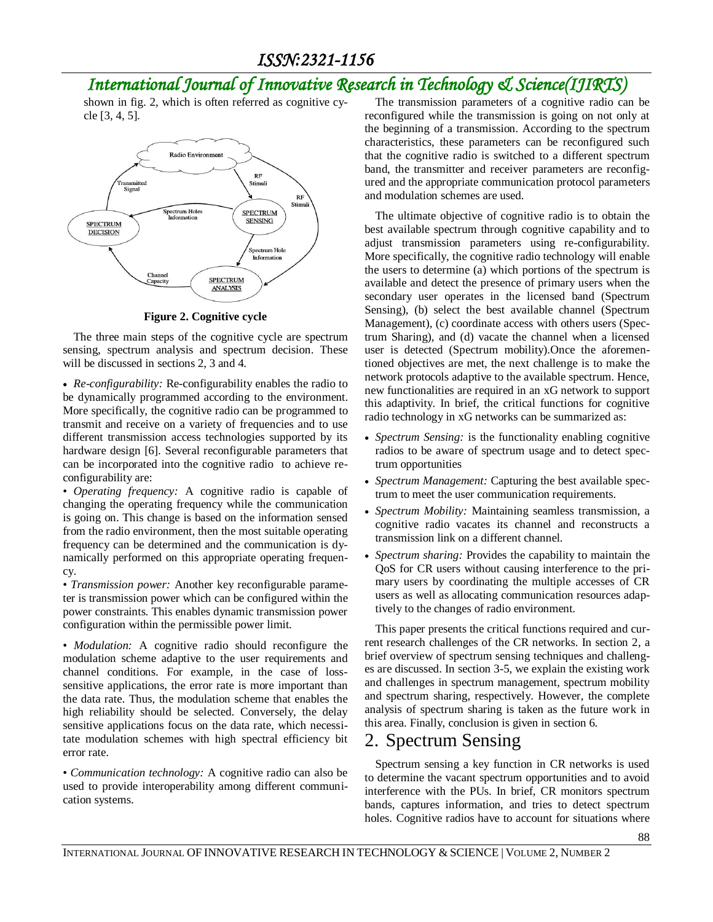shown in fig. 2, which is often referred as cognitive cycle [3, 4, 5].



**Figure 2. Cognitive cycle**

The three main steps of the cognitive cycle are spectrum sensing, spectrum analysis and spectrum decision. These will be discussed in sections 2, 3 and 4.

 *Re-configurability:* Re-configurability enables the radio to be dynamically programmed according to the environment. More specifically, the cognitive radio can be programmed to transmit and receive on a variety of frequencies and to use different transmission access technologies supported by its hardware design [6]. Several reconfigurable parameters that can be incorporated into the cognitive radio to achieve reconfigurability are:

• *Operating frequency:* A cognitive radio is capable of changing the operating frequency while the communication is going on. This change is based on the information sensed from the radio environment, then the most suitable operating frequency can be determined and the communication is dynamically performed on this appropriate operating frequency.

• *Transmission power:* Another key reconfigurable parameter is transmission power which can be configured within the power constraints. This enables dynamic transmission power configuration within the permissible power limit.

• *Modulation:* A cognitive radio should reconfigure the modulation scheme adaptive to the user requirements and channel conditions. For example, in the case of losssensitive applications, the error rate is more important than the data rate. Thus, the modulation scheme that enables the high reliability should be selected. Conversely, the delay sensitive applications focus on the data rate, which necessitate modulation schemes with high spectral efficiency bit error rate.

• *Communication technology:* A cognitive radio can also be used to provide interoperability among different communication systems.

The transmission parameters of a cognitive radio can be reconfigured while the transmission is going on not only at the beginning of a transmission. According to the spectrum characteristics, these parameters can be reconfigured such that the cognitive radio is switched to a different spectrum band, the transmitter and receiver parameters are reconfigured and the appropriate communication protocol parameters and modulation schemes are used.

The ultimate objective of cognitive radio is to obtain the best available spectrum through cognitive capability and to adjust transmission parameters using re-configurability. More specifically, the cognitive radio technology will enable the users to determine (a) which portions of the spectrum is available and detect the presence of primary users when the secondary user operates in the licensed band (Spectrum Sensing), (b) select the best available channel (Spectrum Management), (c) coordinate access with others users (Spectrum Sharing), and (d) vacate the channel when a licensed user is detected (Spectrum mobility).Once the aforementioned objectives are met, the next challenge is to make the network protocols adaptive to the available spectrum. Hence, new functionalities are required in an xG network to support this adaptivity. In brief, the critical functions for cognitive radio technology in xG networks can be summarized as:

- *Spectrum Sensing:* is the functionality enabling cognitive radios to be aware of spectrum usage and to detect spectrum opportunities
- *Spectrum Management:* Capturing the best available spectrum to meet the user communication requirements.
- *Spectrum Mobility:* Maintaining seamless transmission, a cognitive radio vacates its channel and reconstructs a transmission link on a different channel.
- *Spectrum sharing:* Provides the capability to maintain the QoS for CR users without causing interference to the primary users by coordinating the multiple accesses of CR users as well as allocating communication resources adaptively to the changes of radio environment.

This paper presents the critical functions required and current research challenges of the CR networks. In section 2, a brief overview of spectrum sensing techniques and challenges are discussed. In section 3-5, we explain the existing work and challenges in spectrum management, spectrum mobility and spectrum sharing, respectively. However, the complete analysis of spectrum sharing is taken as the future work in this area. Finally, conclusion is given in section 6.

## 2. Spectrum Sensing

Spectrum sensing a key function in CR networks is used to determine the vacant spectrum opportunities and to avoid interference with the PUs. In brief, CR monitors spectrum bands, captures information, and tries to detect spectrum holes. Cognitive radios have to account for situations where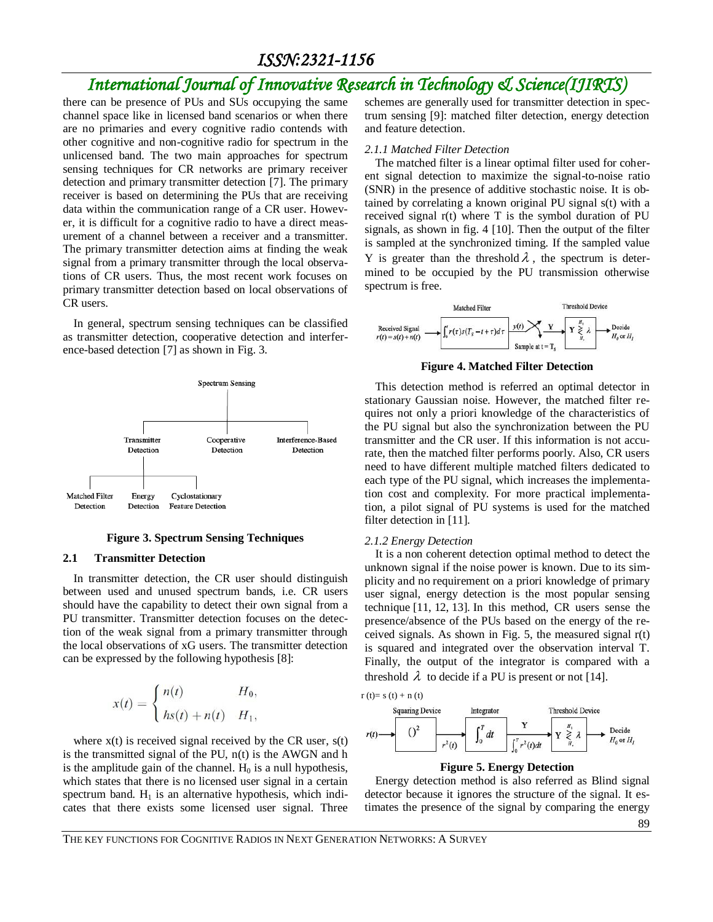# *International Journal of Innovative Research in Technology & Science(IJIRTS)*

there can be presence of PUs and SUs occupying the same channel space like in licensed band scenarios or when there are no primaries and every cognitive radio contends with other cognitive and non-cognitive radio for spectrum in the unlicensed band. The two main approaches for spectrum sensing techniques for CR networks are primary receiver detection and primary transmitter detection [7]. The primary receiver is based on determining the PUs that are receiving data within the communication range of a CR user. However, it is difficult for a cognitive radio to have a direct measurement of a channel between a receiver and a transmitter. The primary transmitter detection aims at finding the weak signal from a primary transmitter through the local observations of CR users. Thus, the most recent work focuses on primary transmitter detection based on local observations of CR users.

In general, spectrum sensing techniques can be classified as transmitter detection, cooperative detection and interference-based detection [7] as shown in Fig. 3.



**Figure 3. Spectrum Sensing Techniques**

#### **2.1 Transmitter Detection**

In transmitter detection, the CR user should distinguish between used and unused spectrum bands, i.e. CR users should have the capability to detect their own signal from a PU transmitter. Transmitter detection focuses on the detection of the weak signal from a primary transmitter through the local observations of xG users. The transmitter detection can be expressed by the following hypothesis [8]:

$$
x(t) = \begin{cases} n(t) & H_0, \\ hs(t) + n(t) & H_1, \end{cases}
$$

where  $x(t)$  is received signal received by the CR user,  $s(t)$ is the transmitted signal of the PU, n(t) is the AWGN and h is the amplitude gain of the channel.  $H_0$  is a null hypothesis, which states that there is no licensed user signal in a certain spectrum band.  $H_1$  is an alternative hypothesis, which indicates that there exists some licensed user signal. Three schemes are generally used for transmitter detection in spectrum sensing [9]: matched filter detection, energy detection and feature detection.

#### *2.1.1 Matched Filter Detection*

The matched filter is a linear optimal filter used for coherent signal detection to maximize the signal-to-noise ratio (SNR) in the presence of additive stochastic noise. It is obtained by correlating a known original PU signal s(t) with a received signal r(t) where T is the symbol duration of PU signals, as shown in fig. 4 [10]. Then the output of the filter is sampled at the synchronized timing. If the sampled value Y is greater than the threshold  $\lambda$ , the spectrum is determined to be occupied by the PU transmission otherwise spectrum is free.



**Figure 4. Matched Filter Detection**

This detection method is referred an optimal detector in stationary Gaussian noise. However, the matched filter requires not only a priori knowledge of the characteristics of the PU signal but also the synchronization between the PU transmitter and the CR user. If this information is not accurate, then the matched filter performs poorly. Also, CR users need to have different multiple matched filters dedicated to each type of the PU signal, which increases the implementation cost and complexity. For more practical implementation, a pilot signal of PU systems is used for the matched filter detection in [11].

#### *2.1.2 Energy Detection*

It is a non coherent detection optimal method to detect the unknown signal if the noise power is known. Due to its simplicity and no requirement on a priori knowledge of primary user signal, energy detection is the most popular sensing technique [11, 12, 13]. In this method, CR users sense the presence/absence of the PUs based on the energy of the received signals. As shown in Fig. 5, the measured signal r(t) is squared and integrated over the observation interval T. Finally, the output of the integrator is compared with a threshold  $\lambda$  to decide if a PU is present or not [14].





#### **Figure 5. Energy Detection**

Energy detection method is also referred as Blind signal detector because it ignores the structure of the signal. It estimates the presence of the signal by comparing the energy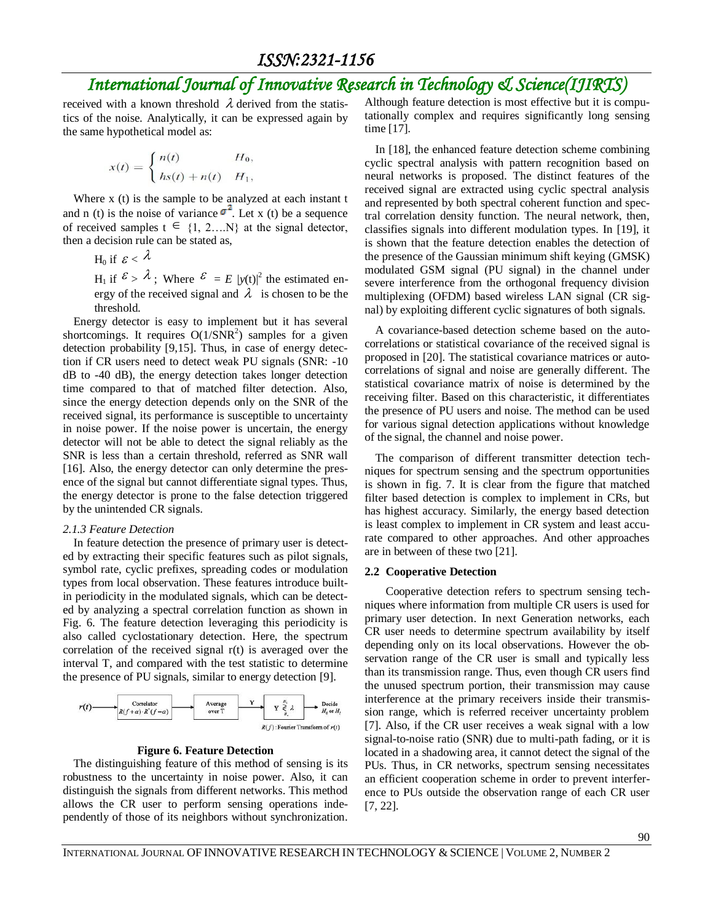received with a known threshold  $\lambda$  derived from the statistics of the noise. Analytically, it can be expressed again by the same hypothetical model as:

$$
x(t) = \begin{cases} n(t) & H_0, \\ hs(t) + n(t) & H_1, \end{cases}
$$

Where x (t) is the sample to be analyzed at each instant t and n (t) is the noise of variance  $\sigma^2$ . Let x (t) be a sequence of received samples  $t \in \{1, 2,...N\}$  at the signal detector, then a decision rule can be stated as,

H $_0$  if  $\mathcal{E} < \mathcal{\lambda}$ 

 $H_1$  if  $\mathcal{E} > \lambda$ ; Where  $\mathcal{E} = E / y(t)$  the estimated energy of the received signal and  $\lambda$  is chosen to be the threshold.

Energy detector is easy to implement but it has several shortcomings. It requires  $O(1/SNR^2)$  samples for a given detection probability [9,15]. Thus, in case of energy detection if CR users need to detect weak PU signals (SNR: -10 dB to -40 dB), the energy detection takes longer detection time compared to that of matched filter detection. Also, since the energy detection depends only on the SNR of the received signal, its performance is susceptible to uncertainty in noise power. If the noise power is uncertain, the energy detector will not be able to detect the signal reliably as the SNR is less than a certain threshold, referred as SNR wall [16]. Also, the energy detector can only determine the presence of the signal but cannot differentiate signal types. Thus, the energy detector is prone to the false detection triggered by the unintended CR signals.

#### *2.1.3 Feature Detection*

In feature detection the presence of primary user is detected by extracting their specific features such as pilot signals, symbol rate, cyclic prefixes, spreading codes or modulation types from local observation. These features introduce builtin periodicity in the modulated signals, which can be detected by analyzing a spectral correlation function as shown in Fig. 6. The feature detection leveraging this periodicity is also called cyclostationary detection. Here, the spectrum correlation of the received signal r(t) is averaged over the interval T, and compared with the test statistic to determine the presence of PU signals, similar to energy detection [9].



#### **Figure 6. Feature Detection**

The distinguishing feature of this method of sensing is its robustness to the uncertainty in noise power. Also, it can distinguish the signals from different networks. This method allows the CR user to perform sensing operations independently of those of its neighbors without synchronization.

Although feature detection is most effective but it is computationally complex and requires significantly long sensing time [17].

In [18], the enhanced feature detection scheme combining cyclic spectral analysis with pattern recognition based on neural networks is proposed. The distinct features of the received signal are extracted using cyclic spectral analysis and represented by both spectral coherent function and spectral correlation density function. The neural network, then, classifies signals into different modulation types. In [19], it is shown that the feature detection enables the detection of the presence of the Gaussian minimum shift keying (GMSK) modulated GSM signal (PU signal) in the channel under severe interference from the orthogonal frequency division multiplexing (OFDM) based wireless LAN signal (CR signal) by exploiting different cyclic signatures of both signals.

A covariance-based detection scheme based on the autocorrelations or statistical covariance of the received signal is proposed in [20]. The statistical covariance matrices or autocorrelations of signal and noise are generally different. The statistical covariance matrix of noise is determined by the receiving filter. Based on this characteristic, it differentiates the presence of PU users and noise. The method can be used for various signal detection applications without knowledge of the signal, the channel and noise power.

The comparison of different transmitter detection techniques for spectrum sensing and the spectrum opportunities is shown in fig. 7. It is clear from the figure that matched filter based detection is complex to implement in CRs, but has highest accuracy. Similarly, the energy based detection is least complex to implement in CR system and least accurate compared to other approaches. And other approaches are in between of these two [21].

#### **2.2 Cooperative Detection**

Cooperative detection refers to spectrum sensing techniques where information from multiple CR users is used for primary user detection. In next Generation networks, each CR user needs to determine spectrum availability by itself depending only on its local observations. However the observation range of the CR user is small and typically less than its transmission range. Thus, even though CR users find the unused spectrum portion, their transmission may cause interference at the primary receivers inside their transmission range, which is referred receiver uncertainty problem [7]. Also, if the CR user receives a weak signal with a low signal-to-noise ratio (SNR) due to multi-path fading, or it is located in a shadowing area, it cannot detect the signal of the PUs. Thus, in CR networks, spectrum sensing necessitates an efficient cooperation scheme in order to prevent interference to PUs outside the observation range of each CR user [7, 22].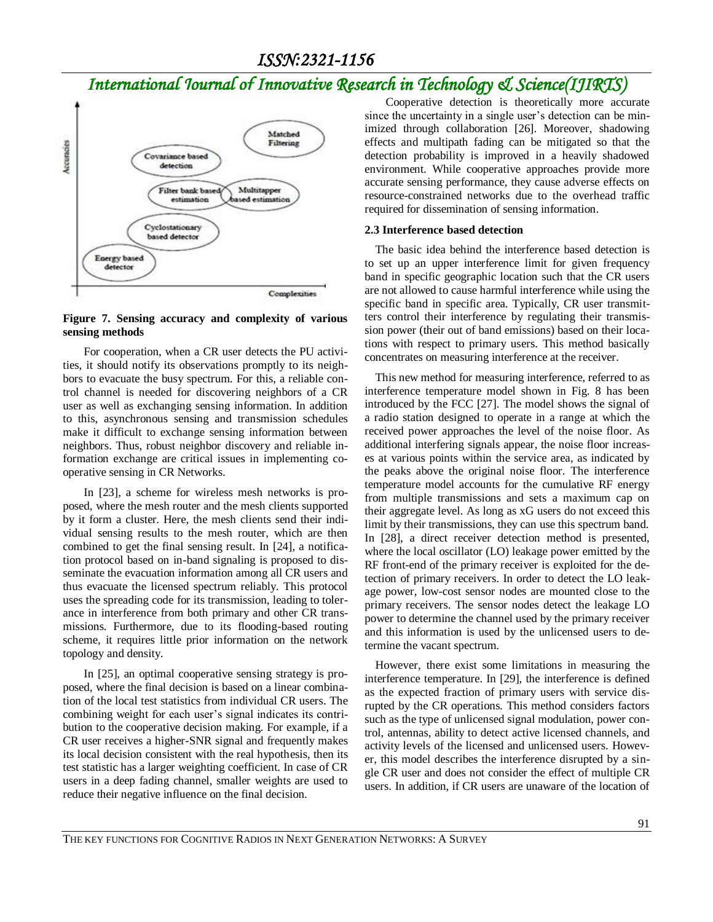

#### **Figure 7. Sensing accuracy and complexity of various sensing methods**

For cooperation, when a CR user detects the PU activities, it should notify its observations promptly to its neighbors to evacuate the busy spectrum. For this, a reliable control channel is needed for discovering neighbors of a CR user as well as exchanging sensing information. In addition to this, asynchronous sensing and transmission schedules make it difficult to exchange sensing information between neighbors. Thus, robust neighbor discovery and reliable information exchange are critical issues in implementing cooperative sensing in CR Networks.

In [23], a scheme for wireless mesh networks is proposed, where the mesh router and the mesh clients supported by it form a cluster. Here, the mesh clients send their individual sensing results to the mesh router, which are then combined to get the final sensing result. In [24], a notification protocol based on in-band signaling is proposed to disseminate the evacuation information among all CR users and thus evacuate the licensed spectrum reliably. This protocol uses the spreading code for its transmission, leading to tolerance in interference from both primary and other CR transmissions. Furthermore, due to its flooding-based routing scheme, it requires little prior information on the network topology and density.

In [25], an optimal cooperative sensing strategy is proposed, where the final decision is based on a linear combination of the local test statistics from individual CR users. The combining weight for each user's signal indicates its contribution to the cooperative decision making. For example, if a CR user receives a higher-SNR signal and frequently makes its local decision consistent with the real hypothesis, then its test statistic has a larger weighting coefficient. In case of CR users in a deep fading channel, smaller weights are used to reduce their negative influence on the final decision.

Cooperative detection is theoretically more accurate since the uncertainty in a single user's detection can be minimized through collaboration [26]. Moreover, shadowing effects and multipath fading can be mitigated so that the detection probability is improved in a heavily shadowed environment. While cooperative approaches provide more accurate sensing performance, they cause adverse effects on resource-constrained networks due to the overhead traffic required for dissemination of sensing information.

#### **2.3 Interference based detection**

The basic idea behind the interference based detection is to set up an upper interference limit for given frequency band in specific geographic location such that the CR users are not allowed to cause harmful interference while using the specific band in specific area. Typically, CR user transmitters control their interference by regulating their transmission power (their out of band emissions) based on their locations with respect to primary users. This method basically concentrates on measuring interference at the receiver.

This new method for measuring interference, referred to as interference temperature model shown in Fig. 8 has been introduced by the FCC [27]. The model shows the signal of a radio station designed to operate in a range at which the received power approaches the level of the noise floor. As additional interfering signals appear, the noise floor increases at various points within the service area, as indicated by the peaks above the original noise floor. The interference temperature model accounts for the cumulative RF energy from multiple transmissions and sets a maximum cap on their aggregate level. As long as xG users do not exceed this limit by their transmissions, they can use this spectrum band. In [28], a direct receiver detection method is presented, where the local oscillator (LO) leakage power emitted by the RF front-end of the primary receiver is exploited for the detection of primary receivers. In order to detect the LO leakage power, low-cost sensor nodes are mounted close to the primary receivers. The sensor nodes detect the leakage LO power to determine the channel used by the primary receiver and this information is used by the unlicensed users to determine the vacant spectrum.

However, there exist some limitations in measuring the interference temperature. In [29], the interference is defined as the expected fraction of primary users with service disrupted by the CR operations. This method considers factors such as the type of unlicensed signal modulation, power control, antennas, ability to detect active licensed channels, and activity levels of the licensed and unlicensed users. However, this model describes the interference disrupted by a single CR user and does not consider the effect of multiple CR users. In addition, if CR users are unaware of the location of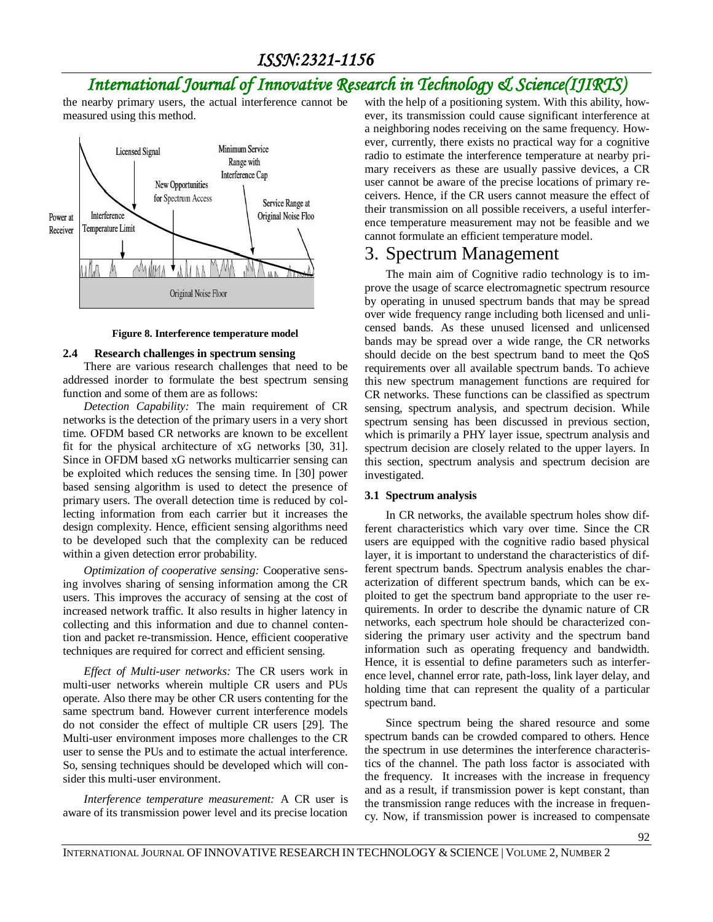the nearby primary users, the actual interference cannot be measured using this method.



#### **Figure 8. Interference temperature model**

#### **2.4 Research challenges in spectrum sensing**

There are various research challenges that need to be addressed inorder to formulate the best spectrum sensing function and some of them are as follows:

*Detection Capability:* The main requirement of CR networks is the detection of the primary users in a very short time. OFDM based CR networks are known to be excellent fit for the physical architecture of xG networks [30, 31]. Since in OFDM based xG networks multicarrier sensing can be exploited which reduces the sensing time. In [30] power based sensing algorithm is used to detect the presence of primary users. The overall detection time is reduced by collecting information from each carrier but it increases the design complexity. Hence, efficient sensing algorithms need to be developed such that the complexity can be reduced within a given detection error probability.

*Optimization of cooperative sensing:* Cooperative sensing involves sharing of sensing information among the CR users. This improves the accuracy of sensing at the cost of increased network traffic. It also results in higher latency in collecting and this information and due to channel contention and packet re-transmission. Hence, efficient cooperative techniques are required for correct and efficient sensing.

*Effect of Multi-user networks:* The CR users work in multi-user networks wherein multiple CR users and PUs operate. Also there may be other CR users contenting for the same spectrum band. However current interference models do not consider the effect of multiple CR users [29]. The Multi-user environment imposes more challenges to the CR user to sense the PUs and to estimate the actual interference. So, sensing techniques should be developed which will consider this multi-user environment.

*Interference temperature measurement:* A CR user is aware of its transmission power level and its precise location

with the help of a positioning system. With this ability, however, its transmission could cause significant interference at a neighboring nodes receiving on the same frequency. However, currently, there exists no practical way for a cognitive radio to estimate the interference temperature at nearby primary receivers as these are usually passive devices, a CR user cannot be aware of the precise locations of primary receivers. Hence, if the CR users cannot measure the effect of their transmission on all possible receivers, a useful interference temperature measurement may not be feasible and we cannot formulate an efficient temperature model.

### 3. Spectrum Management

The main aim of Cognitive radio technology is to improve the usage of scarce electromagnetic spectrum resource by operating in unused spectrum bands that may be spread over wide frequency range including both licensed and unlicensed bands. As these unused licensed and unlicensed bands may be spread over a wide range, the CR networks should decide on the best spectrum band to meet the QoS requirements over all available spectrum bands. To achieve this new spectrum management functions are required for CR networks. These functions can be classified as spectrum sensing, spectrum analysis, and spectrum decision. While spectrum sensing has been discussed in previous section, which is primarily a PHY layer issue, spectrum analysis and spectrum decision are closely related to the upper layers. In this section, spectrum analysis and spectrum decision are investigated.

#### **3.1 Spectrum analysis**

In CR networks, the available spectrum holes show different characteristics which vary over time. Since the CR users are equipped with the cognitive radio based physical layer, it is important to understand the characteristics of different spectrum bands. Spectrum analysis enables the characterization of different spectrum bands, which can be exploited to get the spectrum band appropriate to the user requirements. In order to describe the dynamic nature of CR networks, each spectrum hole should be characterized considering the primary user activity and the spectrum band information such as operating frequency and bandwidth. Hence, it is essential to define parameters such as interference level, channel error rate, path-loss, link layer delay, and holding time that can represent the quality of a particular spectrum band.

Since spectrum being the shared resource and some spectrum bands can be crowded compared to others. Hence the spectrum in use determines the interference characteristics of the channel. The path loss factor is associated with the frequency. It increases with the increase in frequency and as a result, if transmission power is kept constant, than the transmission range reduces with the increase in frequency. Now, if transmission power is increased to compensate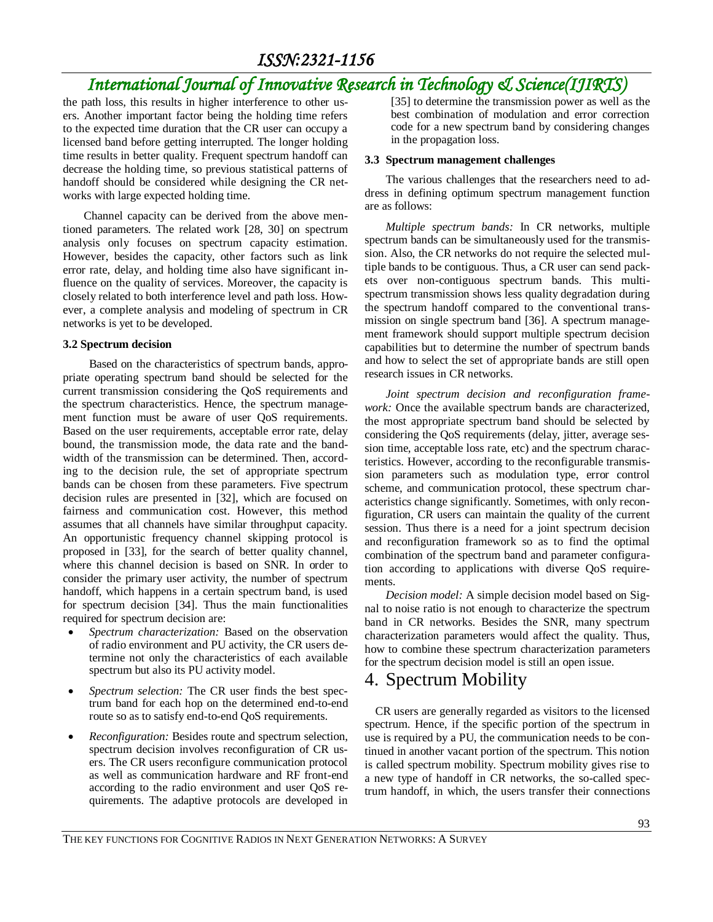# *International Journal of Innovative Research in Technology & Science(IJIRTS)*

the path loss, this results in higher interference to other users. Another important factor being the holding time refers to the expected time duration that the CR user can occupy a licensed band before getting interrupted. The longer holding time results in better quality. Frequent spectrum handoff can decrease the holding time, so previous statistical patterns of handoff should be considered while designing the CR networks with large expected holding time.

Channel capacity can be derived from the above mentioned parameters. The related work [28, 30] on spectrum analysis only focuses on spectrum capacity estimation. However, besides the capacity, other factors such as link error rate, delay, and holding time also have significant influence on the quality of services. Moreover, the capacity is closely related to both interference level and path loss. However, a complete analysis and modeling of spectrum in CR networks is yet to be developed.

#### **3.2 Spectrum decision**

Based on the characteristics of spectrum bands, appropriate operating spectrum band should be selected for the current transmission considering the QoS requirements and the spectrum characteristics. Hence, the spectrum management function must be aware of user QoS requirements. Based on the user requirements, acceptable error rate, delay bound, the transmission mode, the data rate and the bandwidth of the transmission can be determined. Then, according to the decision rule, the set of appropriate spectrum bands can be chosen from these parameters. Five spectrum decision rules are presented in [32], which are focused on fairness and communication cost. However, this method assumes that all channels have similar throughput capacity. An opportunistic frequency channel skipping protocol is proposed in [33], for the search of better quality channel, where this channel decision is based on SNR. In order to consider the primary user activity, the number of spectrum handoff, which happens in a certain spectrum band, is used for spectrum decision [34]. Thus the main functionalities required for spectrum decision are:

- *Spectrum characterization:* Based on the observation of radio environment and PU activity, the CR users determine not only the characteristics of each available spectrum but also its PU activity model.
- *Spectrum selection:* The CR user finds the best spectrum band for each hop on the determined end-to-end route so as to satisfy end-to-end QoS requirements.
- *Reconfiguration:* Besides route and spectrum selection, spectrum decision involves reconfiguration of CR users. The CR users reconfigure communication protocol as well as communication hardware and RF front-end according to the radio environment and user QoS requirements. The adaptive protocols are developed in

[35] to determine the transmission power as well as the best combination of modulation and error correction code for a new spectrum band by considering changes in the propagation loss.

#### **3.3 Spectrum management challenges**

The various challenges that the researchers need to address in defining optimum spectrum management function are as follows:

*Multiple spectrum bands:* In CR networks, multiple spectrum bands can be simultaneously used for the transmission. Also, the CR networks do not require the selected multiple bands to be contiguous. Thus, a CR user can send packets over non-contiguous spectrum bands. This multispectrum transmission shows less quality degradation during the spectrum handoff compared to the conventional transmission on single spectrum band [36]. A spectrum management framework should support multiple spectrum decision capabilities but to determine the number of spectrum bands and how to select the set of appropriate bands are still open research issues in CR networks.

*Joint spectrum decision and reconfiguration framework:* Once the available spectrum bands are characterized, the most appropriate spectrum band should be selected by considering the QoS requirements (delay, jitter, average session time, acceptable loss rate, etc) and the spectrum characteristics. However, according to the reconfigurable transmission parameters such as modulation type, error control scheme, and communication protocol, these spectrum characteristics change significantly. Sometimes, with only reconfiguration, CR users can maintain the quality of the current session. Thus there is a need for a joint spectrum decision and reconfiguration framework so as to find the optimal combination of the spectrum band and parameter configuration according to applications with diverse QoS requirements.

*Decision model:* A simple decision model based on Signal to noise ratio is not enough to characterize the spectrum band in CR networks. Besides the SNR, many spectrum characterization parameters would affect the quality. Thus, how to combine these spectrum characterization parameters for the spectrum decision model is still an open issue.

## 4. Spectrum Mobility

CR users are generally regarded as visitors to the licensed spectrum. Hence, if the specific portion of the spectrum in use is required by a PU, the communication needs to be continued in another vacant portion of the spectrum. This notion is called spectrum mobility. Spectrum mobility gives rise to a new type of handoff in CR networks, the so-called spectrum handoff, in which, the users transfer their connections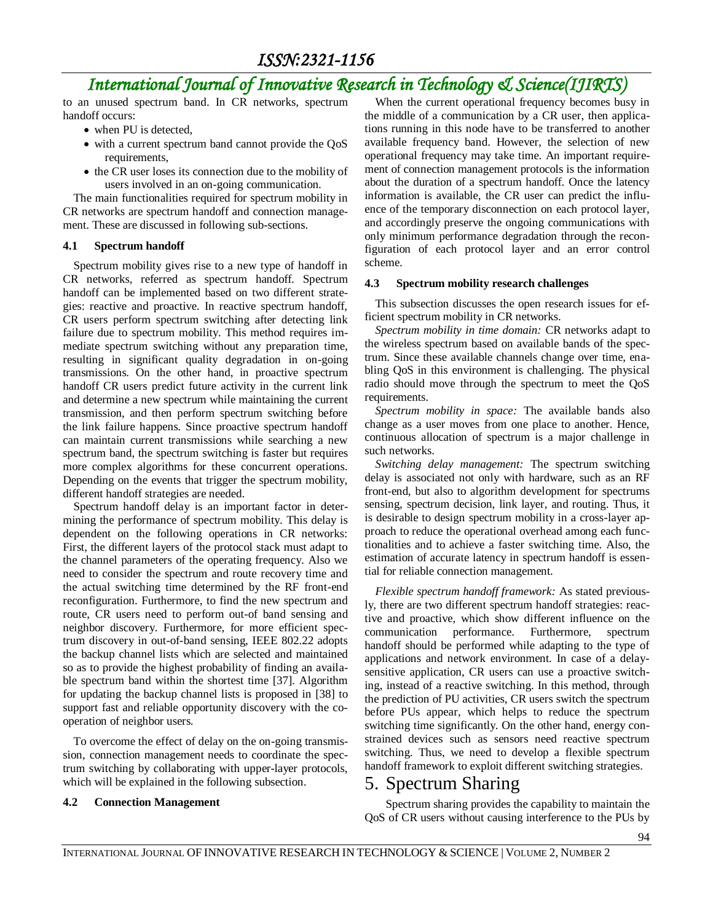to an unused spectrum band. In CR networks, spectrum handoff occurs:

- when PU is detected,
- with a current spectrum band cannot provide the QoS requirements,
- the CR user loses its connection due to the mobility of users involved in an on-going communication.

The main functionalities required for spectrum mobility in CR networks are spectrum handoff and connection management. These are discussed in following sub-sections.

#### **4.1 Spectrum handoff**

Spectrum mobility gives rise to a new type of handoff in CR networks, referred as spectrum handoff. Spectrum handoff can be implemented based on two different strategies: reactive and proactive. In reactive spectrum handoff, CR users perform spectrum switching after detecting link failure due to spectrum mobility. This method requires immediate spectrum switching without any preparation time, resulting in significant quality degradation in on-going transmissions. On the other hand, in proactive spectrum handoff CR users predict future activity in the current link and determine a new spectrum while maintaining the current transmission, and then perform spectrum switching before the link failure happens. Since proactive spectrum handoff can maintain current transmissions while searching a new spectrum band, the spectrum switching is faster but requires more complex algorithms for these concurrent operations. Depending on the events that trigger the spectrum mobility, different handoff strategies are needed.

Spectrum handoff delay is an important factor in determining the performance of spectrum mobility. This delay is dependent on the following operations in CR networks: First, the different layers of the protocol stack must adapt to the channel parameters of the operating frequency. Also we need to consider the spectrum and route recovery time and the actual switching time determined by the RF front-end reconfiguration. Furthermore, to find the new spectrum and route, CR users need to perform out-of band sensing and neighbor discovery. Furthermore, for more efficient spectrum discovery in out-of-band sensing, IEEE 802.22 adopts the backup channel lists which are selected and maintained so as to provide the highest probability of finding an available spectrum band within the shortest time [37]. Algorithm for updating the backup channel lists is proposed in [38] to support fast and reliable opportunity discovery with the cooperation of neighbor users.

To overcome the effect of delay on the on-going transmission, connection management needs to coordinate the spectrum switching by collaborating with upper-layer protocols, which will be explained in the following subsection.

#### **4.2 Connection Management**

When the current operational frequency becomes busy in the middle of a communication by a CR user, then applications running in this node have to be transferred to another available frequency band. However, the selection of new operational frequency may take time. An important requirement of connection management protocols is the information about the duration of a spectrum handoff. Once the latency information is available, the CR user can predict the influence of the temporary disconnection on each protocol layer, and accordingly preserve the ongoing communications with only minimum performance degradation through the reconfiguration of each protocol layer and an error control scheme.

#### **4.3 Spectrum mobility research challenges**

This subsection discusses the open research issues for efficient spectrum mobility in CR networks.

*Spectrum mobility in time domain:* CR networks adapt to the wireless spectrum based on available bands of the spectrum. Since these available channels change over time, enabling QoS in this environment is challenging. The physical radio should move through the spectrum to meet the QoS requirements.

*Spectrum mobility in space:* The available bands also change as a user moves from one place to another. Hence, continuous allocation of spectrum is a major challenge in such networks.

*Switching delay management:* The spectrum switching delay is associated not only with hardware, such as an RF front-end, but also to algorithm development for spectrums sensing, spectrum decision, link layer, and routing. Thus, it is desirable to design spectrum mobility in a cross-layer approach to reduce the operational overhead among each functionalities and to achieve a faster switching time. Also, the estimation of accurate latency in spectrum handoff is essential for reliable connection management.

*Flexible spectrum handoff framework:* As stated previously, there are two different spectrum handoff strategies: reactive and proactive, which show different influence on the communication performance. Furthermore, spectrum handoff should be performed while adapting to the type of applications and network environment. In case of a delaysensitive application, CR users can use a proactive switching, instead of a reactive switching. In this method, through the prediction of PU activities, CR users switch the spectrum before PUs appear, which helps to reduce the spectrum switching time significantly. On the other hand, energy constrained devices such as sensors need reactive spectrum switching. Thus, we need to develop a flexible spectrum handoff framework to exploit different switching strategies.

### 5. Spectrum Sharing

Spectrum sharing provides the capability to maintain the QoS of CR users without causing interference to the PUs by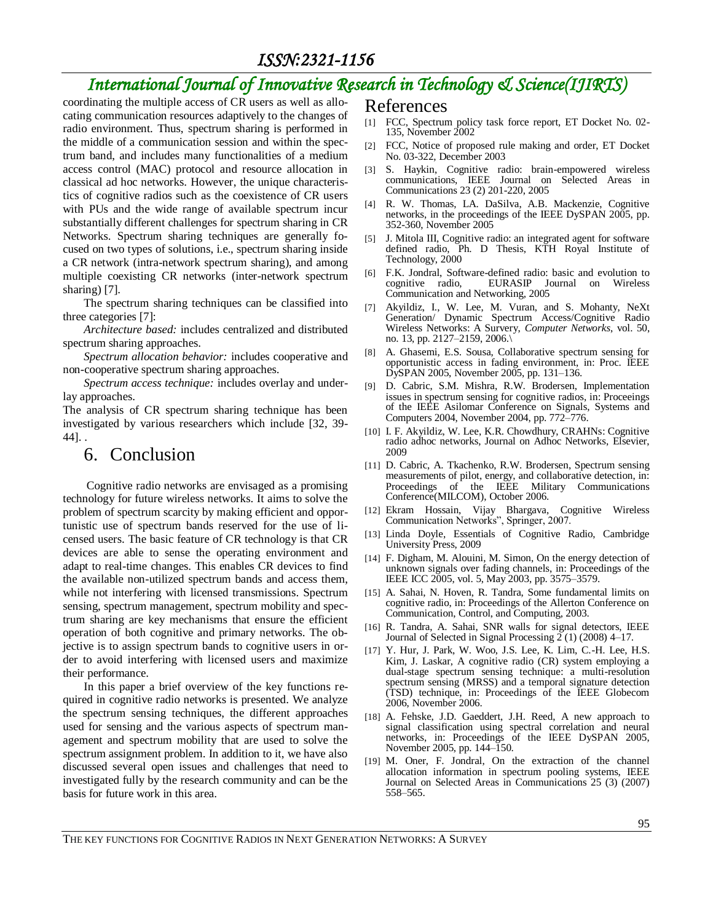# *International Journal of Innovative Research in Technology & Science(IJIRTS)*

coordinating the multiple access of CR users as well as allocating communication resources adaptively to the changes of radio environment. Thus, spectrum sharing is performed in the middle of a communication session and within the spectrum band, and includes many functionalities of a medium access control (MAC) protocol and resource allocation in classical ad hoc networks. However, the unique characteristics of cognitive radios such as the coexistence of CR users with PUs and the wide range of available spectrum incur substantially different challenges for spectrum sharing in CR Networks. Spectrum sharing techniques are generally focused on two types of solutions, i.e., spectrum sharing inside a CR network (intra-network spectrum sharing), and among multiple coexisting CR networks (inter-network spectrum sharing) [7].

The spectrum sharing techniques can be classified into three categories [7]:

*Architecture based:* includes centralized and distributed spectrum sharing approaches.

*Spectrum allocation behavior:* includes cooperative and non-cooperative spectrum sharing approaches.

*Spectrum access technique:* includes overlay and underlay approaches.

The analysis of CR spectrum sharing technique has been investigated by various researchers which include [32, 39- 44]. .

### 6. Conclusion

Cognitive radio networks are envisaged as a promising technology for future wireless networks. It aims to solve the problem of spectrum scarcity by making efficient and opportunistic use of spectrum bands reserved for the use of licensed users. The basic feature of CR technology is that CR devices are able to sense the operating environment and adapt to real-time changes. This enables CR devices to find the available non-utilized spectrum bands and access them, while not interfering with licensed transmissions. Spectrum sensing, spectrum management, spectrum mobility and spectrum sharing are key mechanisms that ensure the efficient operation of both cognitive and primary networks. The objective is to assign spectrum bands to cognitive users in order to avoid interfering with licensed users and maximize their performance.

In this paper a brief overview of the key functions required in cognitive radio networks is presented. We analyze the spectrum sensing techniques, the different approaches used for sensing and the various aspects of spectrum management and spectrum mobility that are used to solve the spectrum assignment problem. In addition to it, we have also discussed several open issues and challenges that need to investigated fully by the research community and can be the basis for future work in this area.

#### References

- [1] FCC, Spectrum policy task force report, ET Docket No. 02- 135, November 2002
- [2] FCC, Notice of proposed rule making and order, ET Docket No. 03-322, December 2003
- [3] S. Haykin, Cognitive radio: brain-empowered wireless communications, IEEE Journal on Selected Areas in Communications 23 (2) 201-220, 2005
- [4] R. W. Thomas, LA. DaSilva, A.B. Mackenzie, Cognitive networks, in the proceedings of the IEEE DySPAN 2005, pp. 352-360, November 2005
- [5] J. Mitola III, Cognitive radio: an integrated agent for software defined radio, Ph. D Thesis, KTH Royal Institute of Technology, 2000
- [6] F.K. Jondral, Software-defined radio: basic and evolution to EURASIP Journal on Wireless Communication and Networking, 2005
- [7] Akyildiz, I., W. Lee, M. Vuran, and S. Mohanty, NeXt Generation/ Dynamic Spectrum Access/Cognitive Radio Wireless Networks: A Survery, *Computer Networks*, vol. 50, no. 13, pp. 2127–2159, 2006.\
- [8] A. Ghasemi, E.S. Sousa, Collaborative spectrum sensing for opportunistic access in fading environment, in: Proc. IEEE DySPAN 2005, November 2005, pp. 131–136.
- [9] D. Cabric, S.M. Mishra, R.W. Brodersen, Implementation issues in spectrum sensing for cognitive radios, in: Proceeings of the IEEE Asilomar Conference on Signals, Systems and Computers 2004, November 2004, pp. 772–776.
- [10] I. F. Akyildiz, W. Lee, K.R. Chowdhury, CRAHNs: Cognitive radio adhoc networks, Journal on Adhoc Networks, Elsevier, 2009
- [11] D. Cabric, A. Tkachenko, R.W. Brodersen, Spectrum sensing measurements of pilot, energy, and collaborative detection, in: Proceedings of the IEEE Military Communications Conference(MILCOM), October 2006.
- [12] Ekram Hossain, Vijay Bhargava, Cognitive Wireless Communication Networks", Springer, 2007.
- [13] Linda Doyle, Essentials of Cognitive Radio, Cambridge University Press, 2009
- [14] F. Digham, M. Alouini, M. Simon, On the energy detection of unknown signals over fading channels, in: Proceedings of the IEEE ICC 2005, vol. 5, May 2003, pp. 3575–3579.
- [15] A. Sahai, N. Hoven, R. Tandra, Some fundamental limits on cognitive radio, in: Proceedings of the Allerton Conference on Communication, Control, and Computing, 2003.
- [16] R. Tandra, A. Sahai, SNR walls for signal detectors, IEEE Journal of Selected in Signal Processing 2 (1) (2008) 4–17.
- [17] Y. Hur, J. Park, W. Woo, J.S. Lee, K. Lim, C.-H. Lee, H.S. Kim, J. Laskar, A cognitive radio (CR) system employing a dual-stage spectrum sensing technique: a multi-resolution spectrum sensing (MRSS) and a temporal signature detection (TSD) technique, in: Proceedings of the IEEE Globecom 2006, November 2006.
- [18] A. Fehske, J.D. Gaeddert, J.H. Reed, A new approach to signal classification using spectral correlation and neural networks, in: Proceedings of the IEEE DySPAN 2005, November 2005, pp. 144–150.
- [19] M. Oner, F. Jondral, On the extraction of the channel allocation information in spectrum pooling systems, IEEE Journal on Selected Areas in Communications 25 (3) (2007) 558–565.